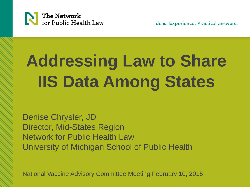

Ideas. Experience. Practical answers.

## **Addressing Law to Share IIS Data Among States**

Denise Chrysler, JD Director, Mid-States Region Network for Public Health Law University of Michigan School of Public Health

National Vaccine Advisory Committee Meeting February 10, 2015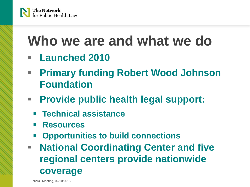

### **Who we are and what we do**

- **Launched 2010**
- **Primary funding Robert Wood Johnson Foundation**
- **Provide public health legal support:**
	- **Technical assistance**
	- **Resources**
	- **Opportunities to build connections**
- **National Coordinating Center and five regional centers provide nationwide coverage**

NVAC Meeting, 02/10/2015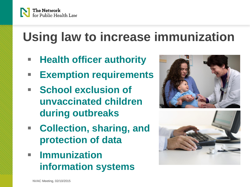

### **Using law to increase immunization**

- **Health officer authority**
- **Exemption requirements**
- **F** School exclusion of **unvaccinated children during outbreaks**
- **Collection, sharing, and protection of data**
- **Immunization information systems**



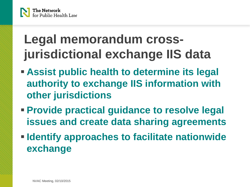

### **Legal memorandum crossjurisdictional exchange IIS data**

- **Assist public health to determine its legal authority to exchange IIS information with other jurisdictions**
- **Provide practical guidance to resolve legal issues and create data sharing agreements**
- **IDENTIFY Approaches to facilitate nationwide exchange**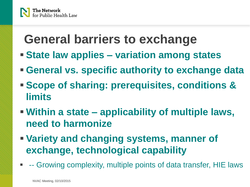

### **General barriers to exchange**

- **State law applies – variation among states**
- **General vs. specific authority to exchange data**
- **Scope of sharing: prerequisites, conditions & limits**
- **Within a state – applicability of multiple laws, need to harmonize**
- **Variety and changing systems, manner of exchange, technological capability**
- -- Growing complexity, multiple points of data transfer, HIE laws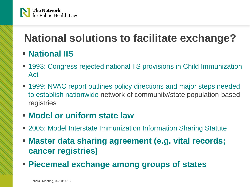

### **National solutions to facilitate exchange?**

#### **National IIS**

- 1993: Congress rejected national IIS provisions in Child Immunization Act
- **1999: NVAC report outlines policy directions and major steps needed** to establish nationwide network of community/state population-based registries

#### **Model or uniform state law**

- 2005: Model Interstate Immunization Information Sharing Statute
- **Master data sharing agreement (e.g. vital records; cancer registries)**
- **Piecemeal exchange among groups of states**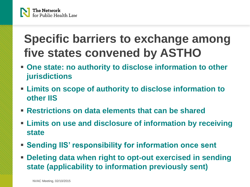

### **Specific barriers to exchange among five states convened by ASTHO**

- **One state: no authority to disclose information to other jurisdictions**
- **Limits on scope of authority to disclose information to other IIS**
- **Restrictions on data elements that can be shared**
- **Limits on use and disclosure of information by receiving state**
- **Sending IIS' responsibility for information once sent**
- **Deleting data when right to opt-out exercised in sending state (applicability to information previously sent)**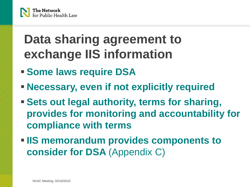

### **Data sharing agreement to exchange IIS information**

- **Some laws require DSA**
- **Necessary, even if not explicitly required**
- **Sets out legal authority, terms for sharing, provides for monitoring and accountability for compliance with terms**
- **IIS memorandum provides components to consider for DSA** (Appendix C)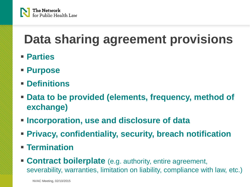

### **Data sharing agreement provisions**

- **Parties**
- **Purpose**
- **Definitions**
- **Data to be provided (elements, frequency, method of exchange)**
- **Incorporation, use and disclosure of data**
- **Privacy, confidentiality, security, breach notification**
- **Termination**
- **Contract boilerplate** (e.g. authority, entire agreement, severability, warranties, limitation on liability, compliance with law, etc.)